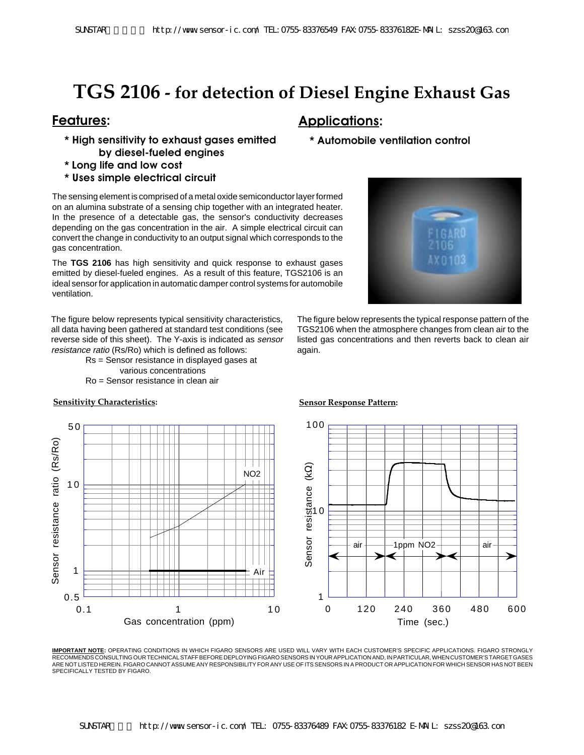# **TGS 2106 - for detection of Diesel Engine Exhaust Gas**

- **\* High sensitivity to exhaust gases emitted by diesel-fueled engines**
- **\* Long life and low cost**
- **\* Uses simple electrical circuit**

The sensing element is comprised of a metal oxide semiconductor layer formed on an alumina substrate of a sensing chip together with an integrated heater. In the presence of a detectable gas, the sensor's conductivity decreases depending on the gas concentration in the air. A simple electrical circuit can convert the change in conductivity to an output signal which corresponds to the gas concentration.

The **TGS 2106** has high sensitivity and quick response to exhaust gases emitted by diesel-fueled engines. As a result of this feature, TGS2106 is an ideal sensor for application in automatic damper control systems for automobile ventilation.

The figure below represents typical sensitivity characteristics, all data having been gathered at standard test conditions (see reverse side of this sheet). The Y-axis is indicated as sensor resistance ratio (Rs/Ro) which is defined as follows:

> Rs = Sensor resistance in displayed gases at various concentrations Ro = Sensor resistance in clean air



## **Features: Applications:**

### **\* Automobile ventilation control**



The figure below represents the typical response pattern of the TGS2106 when the atmosphere changes from clean air to the listed gas concentrations and then reverts back to clean air again.



**IMPORTANT NOTE:** OPERATING CONDITIONS IN WHICH FIGARO SENSORS ARE USED WILL VARY WITH EACH CUSTOMER'S SPECIFIC APPLICATIONS. FIGARO STRONGLY RECOMMENDS CONSULTING OUR TECHNICAL STAFF BEFORE DEPLOYING FIGARO SENSORS IN YOUR APPLICATION AND, IN PARTICULAR, WHEN CUSTOMER'S TARGET GASES ARE NOT LISTED HEREIN. FIGARO CANNOT ASSUME ANY RESPONSIBILITY FOR ANY USE OF ITS SENSORS IN A PRODUCT OR APPLICATION FOR WHICH SENSOR HAS NOT BEEN SPECIFICALLY TESTED BY FIGARO.

### **Sensitivity Characteristics: Sensor Response Pattern:**